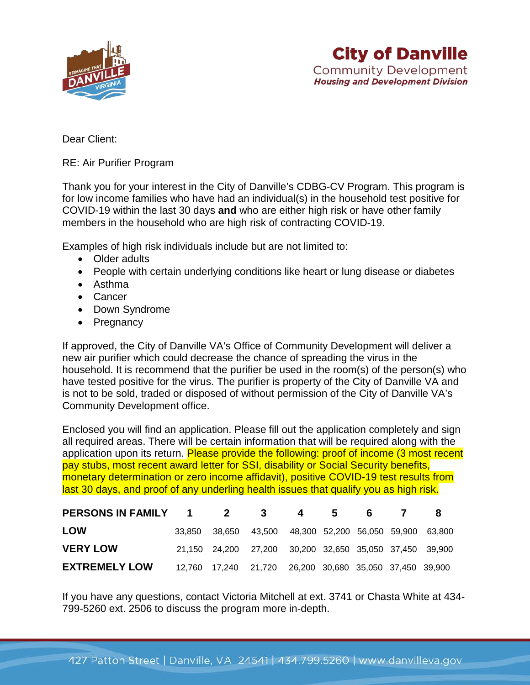

Dear Client:

RE: Air Purifier Program

Thank you for your interest in the City of Danville's CDBG-CV Program. This program is for low income families who have had an individual(s) in the household test positive for COVID-19 within the last 30 days **and** who are either high risk or have other family members in the household who are high risk of contracting COVID-19.

Examples of high risk individuals include but are not limited to:

- Older adults
- People with certain underlying conditions like heart or lung disease or diabetes
- Asthma
- Cancer
- Down Syndrome
- Pregnancy

If approved, the City of Danville VA's Office of Community Development will deliver a new air purifier which could decrease the chance of spreading the virus in the household. It is recommend that the purifier be used in the room(s) of the person(s) who have tested positive for the virus. The purifier is property of the City of Danville VA and is not to be sold, traded or disposed of without permission of the City of Danville VA's Community Development office.

Enclosed you will find an application. Please fill out the application completely and sign all required areas. There will be certain information that will be required along with the application upon its return. Please provide the following: proof of income (3 most recent pay stubs, most recent award letter for SSI, disability or Social Security benefits, monetary determination or zero income affidavit), positive COVID-19 test results from last 30 days, and proof of any underling health issues that qualify you as high risk.

| PERSONS IN FAMILY 1  | 2 | 3                                                              | 4 5 | 6 |  |
|----------------------|---|----------------------------------------------------------------|-----|---|--|
| <b>LOW</b>           |   | 33,850 38,650 43,500 48,300 52,200 56,050 59,900 63,800        |     |   |  |
| <b>VERY LOW</b>      |   | 21,150  24,200  27,200  30,200  32,650  35,050  37,450  39,900 |     |   |  |
| <b>EXTREMELY LOW</b> |   | 12,760  17,240  21,720  26,200  30,680  35,050  37,450  39,900 |     |   |  |

If you have any questions, contact Victoria Mitchell at ext. 3741 or Chasta White at 434- 799-5260 ext. 2506 to discuss the program more in-depth.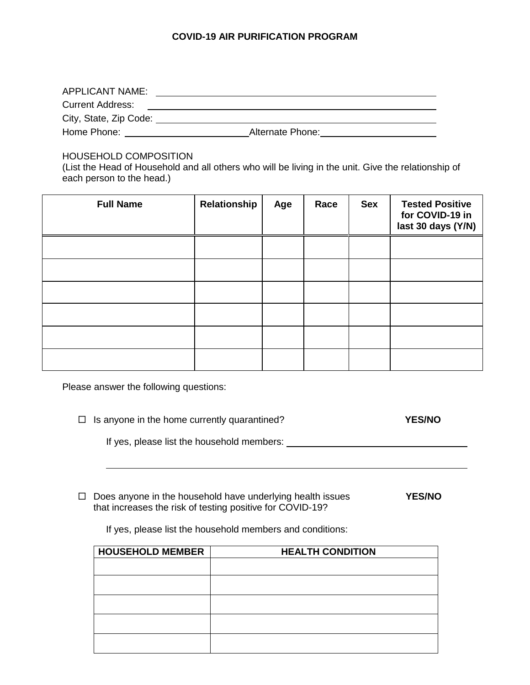## **COVID-19 AIR PURIFICATION PROGRAM**

| <b>APPLICANT NAME:</b>  |                  |  |
|-------------------------|------------------|--|
| <b>Current Address:</b> |                  |  |
| City, State, Zip Code:  |                  |  |
| Home Phone:             | Alternate Phone: |  |

HOUSEHOLD COMPOSITION

(List the Head of Household and all others who will be living in the unit. Give the relationship of each person to the head.)

| <b>Full Name</b> | Relationship | Age | Race | <b>Sex</b> | <b>Tested Positive</b><br>for COVID-19 in<br>last 30 days (Y/N) |
|------------------|--------------|-----|------|------------|-----------------------------------------------------------------|
|                  |              |     |      |            |                                                                 |
|                  |              |     |      |            |                                                                 |
|                  |              |     |      |            |                                                                 |
|                  |              |     |      |            |                                                                 |
|                  |              |     |      |            |                                                                 |
|                  |              |     |      |            |                                                                 |

Please answer the following questions:

|  | $\Box$ Is anyone in the home currently quarantined? | <b>YES/NO</b> |
|--|-----------------------------------------------------|---------------|
|--|-----------------------------------------------------|---------------|

If yes, please list the household members:

□ Does anyone in the household have underlying health issues **YES/NO** that increases the risk of testing positive for COVID-19?

If yes, please list the household members and conditions:

| <b>HOUSEHOLD MEMBER</b> | <b>HEALTH CONDITION</b> |
|-------------------------|-------------------------|
|                         |                         |
|                         |                         |
|                         |                         |
|                         |                         |
|                         |                         |
|                         |                         |